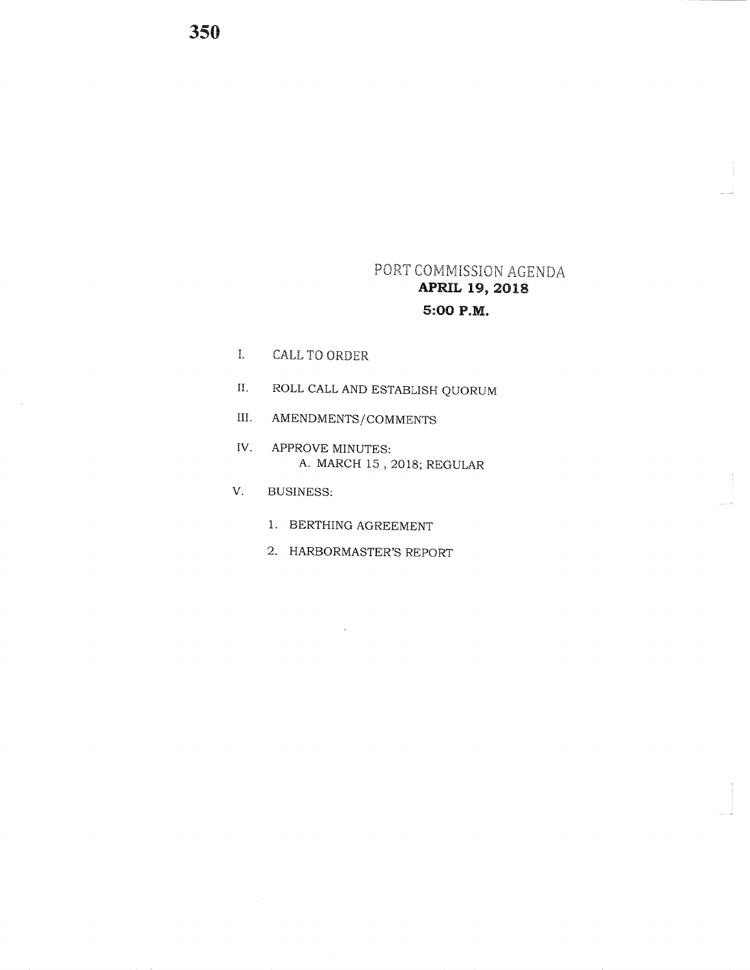## PORT COMMISSION AGENDA **APRIL 19, 2018** 5:00 P.M.

- $\mathbf{I}.$ CALL TO ORDER
- $\hbox{II}.$ ROLL CALL AND ESTABLISH QUORUM
- $III.$ AMENDMENTS/COMMENTS
- IV. APPROVE MINUTES: A. MARCH 15, 2018; REGULAR
- $V_{\odot}$ **BUSINESS:** 
	- 1. BERTHING AGREEMENT
	- 2. HARBORMASTER'S REPORT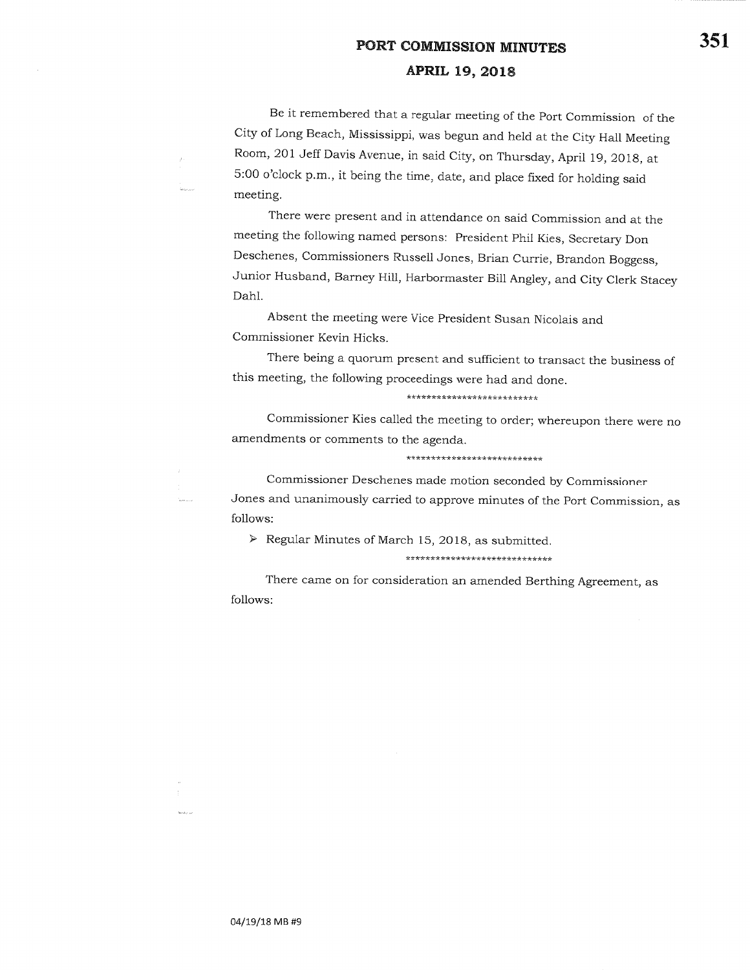# PORT COMMISSION MINUTESAPRIL 19, 2018

Be it remembered that a regular meeting of the port commission of the city of Long Beach, Mississippi, was begun and held at the city Hall MeetingRoom, 201 Jeff Davis Avenue, in said city, on Thursday, April 19, 201g, at5:00 o'clock p.m., it being the time, date, and place fixed for holding saidmeeting.

There were present and in attendance on said commission and at themeeting the following named persons: president phil Kies, secretary Don Deschenes, commissioners Russell Jones, Brian currie, Brandon Boggess, Junior Husband, Barney Hill, Harbormaster Bill Angley, and city clerk StaceyDahl.

Absent the meeting were Vice president Susan Nicolais andCommissioner Kevin Hicks.

There being a quorum present and sufficient to transact the business ofthis meeting, the following proceedings were had and done.

#### \*\*\*\*\*\*\*\*\*\*\*\*\*\*\*\*\*\*\*\*\*\*\*\*\*\*

commissioner Kies called the meeting to order; whereupon there were noamendments or comments to the agenda.

\*\*\*\*\*\*\*\*\*\*\*\*\*\*\*\*\*\*\*\*\*\*\*\*\*\*\*

commissioner Deschenes made motion seconded by commissionerJones and unanimously carried to approve minutes of the port commission, asfollows:

 $\triangleright$  Regular Minutes of March 15, 2018, as submitted.

\*\*\*\*\*\*\*\*\*\*\*\*\*\*\*\*\*\*\*\*\*\*\*\*\*\*\*\*\*

There came on for consideration an amended Berthing Agreement, asfollows:

Saabara 1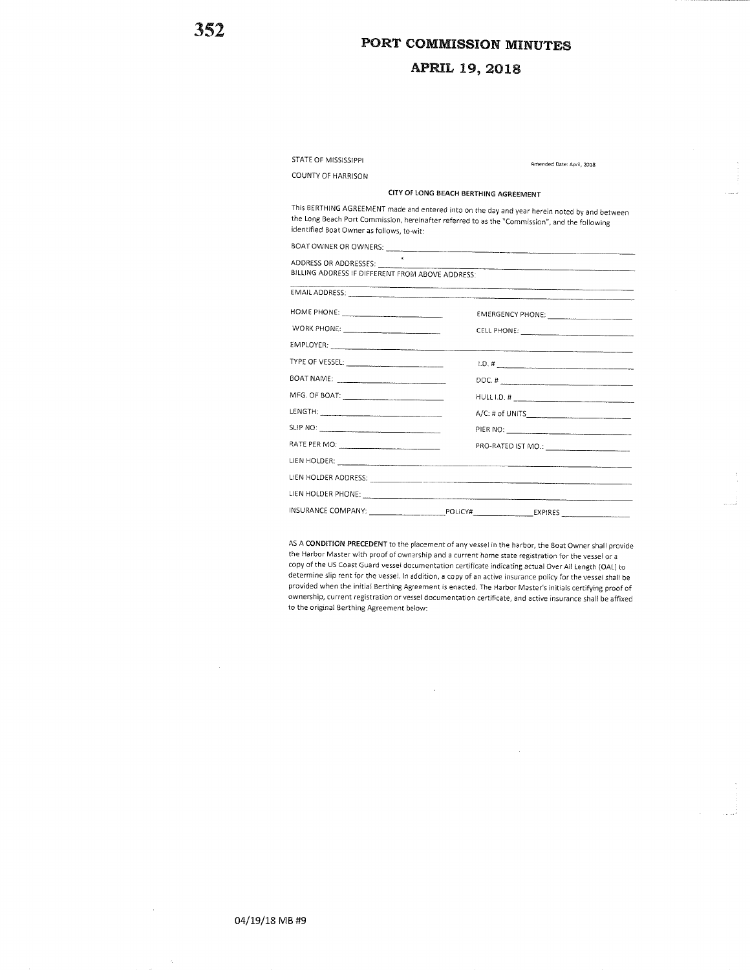## APRIL L9,2OL8

| STATE OF MISSISSIPPI                                                      | Amended Date: April, 2018                                                                                                                                                                                                                                                                                          |
|---------------------------------------------------------------------------|--------------------------------------------------------------------------------------------------------------------------------------------------------------------------------------------------------------------------------------------------------------------------------------------------------------------|
| COUNTY OF HARRISON                                                        |                                                                                                                                                                                                                                                                                                                    |
| CITY OF LONG BEACH BERTHING AGREEMENT                                     |                                                                                                                                                                                                                                                                                                                    |
| identified Boat Owner as follows, to-wit:                                 | This BERTHING AGREEMENT made and entered into on the day and year herein noted by and between<br>the Long Beach Port Commission, hereinafter referred to as the "Commission", and the following                                                                                                                    |
|                                                                           |                                                                                                                                                                                                                                                                                                                    |
| ADDRESS OR ADDRESSES:<br>BILLING ADDRESS IF DIFFERENT FROM ABOVE ADDRESS: |                                                                                                                                                                                                                                                                                                                    |
|                                                                           |                                                                                                                                                                                                                                                                                                                    |
|                                                                           |                                                                                                                                                                                                                                                                                                                    |
| WORK PHONE:                                                               |                                                                                                                                                                                                                                                                                                                    |
|                                                                           |                                                                                                                                                                                                                                                                                                                    |
|                                                                           | $1.0.$ # $\frac{1}{2}$ $\frac{1}{2}$ $\frac{1}{2}$ $\frac{1}{2}$ $\frac{1}{2}$ $\frac{1}{2}$ $\frac{1}{2}$ $\frac{1}{2}$ $\frac{1}{2}$ $\frac{1}{2}$ $\frac{1}{2}$ $\frac{1}{2}$ $\frac{1}{2}$ $\frac{1}{2}$ $\frac{1}{2}$ $\frac{1}{2}$ $\frac{1}{2}$ $\frac{1}{2}$ $\frac{1}{2}$ $\frac{1}{2}$ $\frac{1}{2}$ $\$ |
|                                                                           | DOC. # $\qquad \qquad \qquad \qquad$                                                                                                                                                                                                                                                                               |
|                                                                           |                                                                                                                                                                                                                                                                                                                    |
|                                                                           |                                                                                                                                                                                                                                                                                                                    |
|                                                                           |                                                                                                                                                                                                                                                                                                                    |
|                                                                           |                                                                                                                                                                                                                                                                                                                    |
|                                                                           |                                                                                                                                                                                                                                                                                                                    |
|                                                                           |                                                                                                                                                                                                                                                                                                                    |
|                                                                           |                                                                                                                                                                                                                                                                                                                    |
|                                                                           |                                                                                                                                                                                                                                                                                                                    |

oply of the 35 coast daily vessel documentation centificate indicating actual Over All Length (OAL) to<br>determine slip rent for the vessel. In addition, a copy of an active insurance policy for the vessel shall be AS A CONDITION PRECEDENT to the placement of any vessel in the harbor, the Boat Owner shall providethe Harbor Master with proof of ownership and a current home state registration for the vessel or a copy ofthe US Coast Guard vessel documentation certificate indicating actual Over All Length {OAL) to provided when the initial Berthing ABreement is enacted. The Harbor Master's initials certifying proof of ownership, current registration or vessel documentation certificate, and active insurance shall be affixedto the original Berthing Agreement below: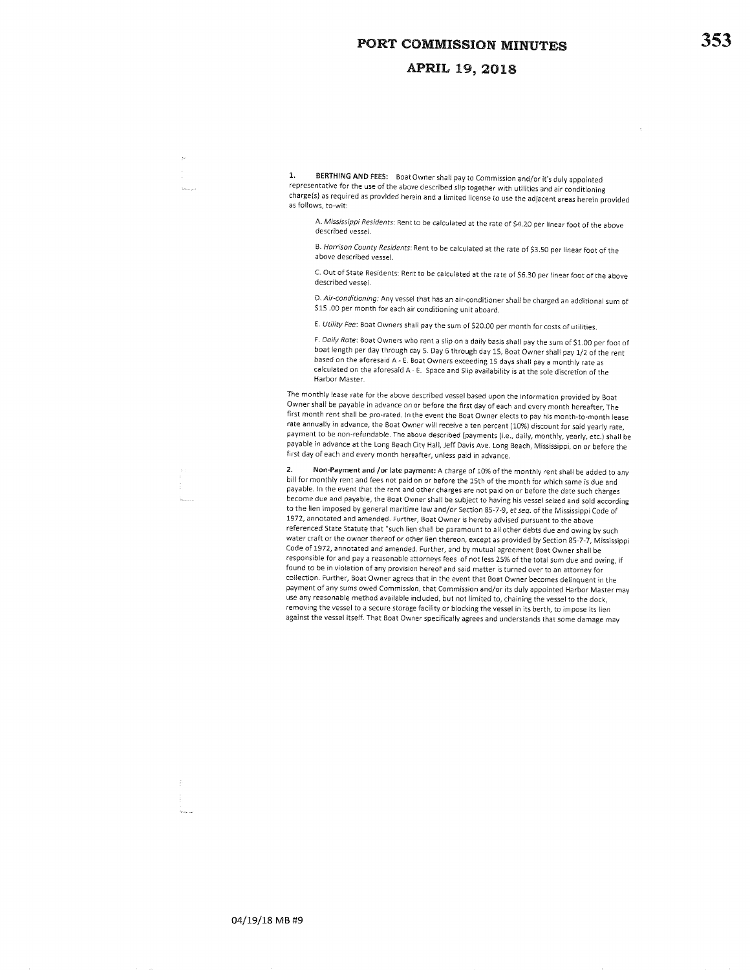#### APRIL 19, 2018

1. BERTHING AND FEES: Boat Owner shall pay to Commission and/or it's duly appointed representative for the use of the above described slip together with utilities and air conditioningcharge(s) as required as provided herein and a limited license to use the adjacent areas herein provided as follows, to-wit:

A. *Mississippi Residents*: Rent to be calculated at the rate of \$4.20 per linear foot of the ab described vessel.

8. Harrison County Residents: Rent to be calculated at the rate of \$3.50 per linear foot of the above described vessel.

C. Out of State Residents: Rent to be calculated at the rate of 56.30 per linear foot of the abovedescribed vessel.

D. *Air-conditioning:* Any vessel that has an air-conditioner shall be charged an additional sum S15 .OO per month for each air conditioning unit aboard.

E. Utility Fee: Boat Owners shall pay the sum of \$20.00 per month for costs of utilities.

F. *Daily Rate*: Boat Owners who rent a slip on a daily basis shall pay the sum of \$1.00 per foot of boat length per day through day 5. Day 6 through day 15, Boat Owner shall pay 1/2 of the rentbased on the aforesaid A - E. Boat Owners exceedjng 15 days shall pay a monthly rate as calculated on the aforesaid A - E. space and slip availability is at the sole discretion of theHarbor Master.

The monthly lease rate for the above described vessel based upon the information provided by Boat owner shall be payable in advance on or before the first day of each ancl every month hereafter, rhe first month rent shall be pro-rated. ln the event the goat owner elects to pay his month-to-month lease rate annually in advance, the Boat owner will receive a ten percent { 1o%} discount for said yearly rate, payment to be non-refundable. rhe above described Ipayments {i.e., daily, monthly, yearly, etc.) shall be payable in advance at the Long Beach city Hall, Jeff Davis Ave. Long Beach, Mississippi, on or before thefirst day of each and every month hereafter, unless pajd in advance.

Non-Payment and /or late payment: A charge of 10% of the monthly rent shall be added to any bill for monthly rent and fees not paid on or before the 15th of the month for which same is due and payable. ln the event that the rent and other charges are not paid on or before the date such chargesbecome due and payable, the Boat Owner shall be subject to having his vessel seized and sold according to the lien imposed by general maritime law and/or Section 85-7-9, et seq. of the Mississippi Code of 1972, annotated and amended. Further, Boat Owner is hereby advised pursuant to the above referenced state Statute that "such lien shall be paramount to all other debts due and owing by such water craft or the owner thereof or other lien thereon, except as provided by section g5-7-7, MississippiCode of 1972, annotated and amended. Further. and by mutual agreement Boat Owner shall beresponsible for and pay a reasonable attorneys fees of not less 25% of the total sum due and owing, if found to be in violation of any provision hereof and sald matter is turned over to an attorney for collection. Further, Boat owner agrees that in the event that Boat owner becomes delinquent in the payment of any sums owed commission, that commission and/or its duly appointed Harbor Master mayuse any reasonable method available included, but not limited to, chaining the vessel to the dock, removing the vessel to a secure storage facility or blocking the vessel in its berth, to impose its lienagainst the vessel itself. That Boat owner specifically agrees and understands that some damage may

353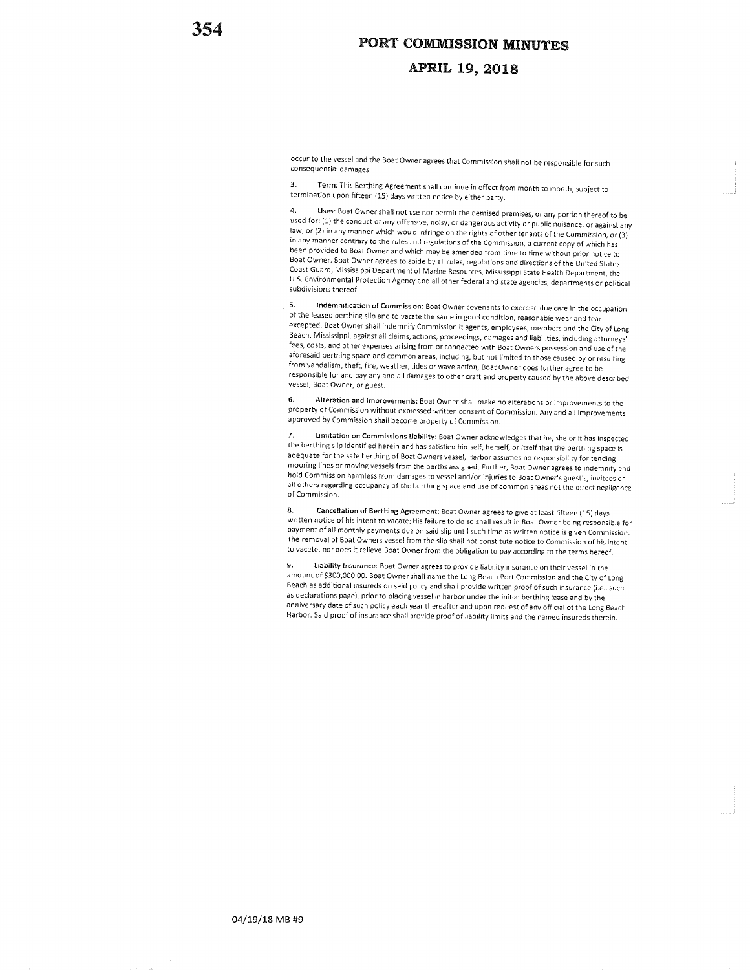#### APRIL 19,2018

occur to the vessel and the Boat Owner agrees that Commission shall not be responsible for such consequential damages.

3. Term: This Berthing Agreement shall continue in effect from month to month, subject totermination upon fifteen (15) days written notice by either party.

4. Uses: Boat Owner shall not use nor permit the demised premises, or any portion thereof to be used for: (1) the conduct of any offensive, noisy, or dangerous activity or public nuisance, or against any law, or (2) in any manner which would infringe on the rights of other tenants of the Commission, or (3) in any manner contrary to the rules and regulations of the Commission, a current copy of which has been provided to Boat owner and which may be amended from time to time without prior notice toBoat Owner. Boat Owner agrees to abide by all rules, regulations and directions of the United States coast Guard, Mississippi Department of Marine Resources, Mississippi state Hearth Department, the U.S Environmental Protection Agency and all other federal and state agencies, departments or politicalsubdivisions thereof.

5. Indemnification of Commission: Boat Owner covenants to exercise due care in the occupation of the leased berthing slip and to vacate the same in good condition, reasonable wear and tear excepted. Boat Owner shall indemnify Commission it agents, employees, members and the City of Long Beach, Mississippi, against all claims, actions, proceedings, damages and liabilities, including attorneys<sup>i</sup> fees, costs, and other expenses arising from or connected with Boat owners possession and use of theaforesaid berthing space and common areas, including, but not limited to those caused by or resulting from vandalism, theft, fire, weather, tides or wave action, Boat Owner does further agree to be responsible for and pay any and ail damages to other craft and property caused by the above describedvessel, Boat Owner, or guest.

6. Alteration and Improvements: Boat Owner shall make no alterations or improvements to the property of commission without expressed written consent of commission. Any and all improvementsapproved by Commission shall become property of Commission.

7. Limitation on Commissions Liability: Boat Owner acknowledges that he, she or it has inspected the berthing slip identified herein and has satisfied himself, herself, or itself that the berthing space is adequate for the safe berthing of Boat Owners vessel, Harbor assumes no responsibility for tending mooring lines or moving vessels from the berths assigned, Further, Boat Owner agrees to indemnify and hold Commission harmless from damages to vessel and/or injuries to Boat Owner's guest's, invitees or all others regarding occupancy of the berthing space and use of common areas not the direct negligence<br>of Commission.

8, Cancellation of Berthing Agreement: Boat Owner agrees to give at least fifteen (15) dayswritten notice of his intent to vacate; His failure to do so shall result in Boat Owner being responsible for payment of all monthly payments due on said slip until such time as written notice is given commission.The removal of Boat Owners vessel from the slip shall not constitute notice to Commission of his intent to vacate, nor does it relieve Boat Owner from the obligation to pay according to the terms hereof.

9. Liability Insurance: Boat Owner agrees to provide liability insurance on their vessel in the amount of \$300,000.00. Boat Owner shall name the Long Beach Port Commission and the City of Long Beach as additional insureds on said policy and shall provide written proof of such insurance (i.e., such as declarations page), prior to placing vessel in harbor under the initial berthing lease and by the anniversary date of such policy each year thereafter and upon request of any official of the Long Beach Harbor. Said proof of insura nce shall provide proof of liability limits and the named insureds therein.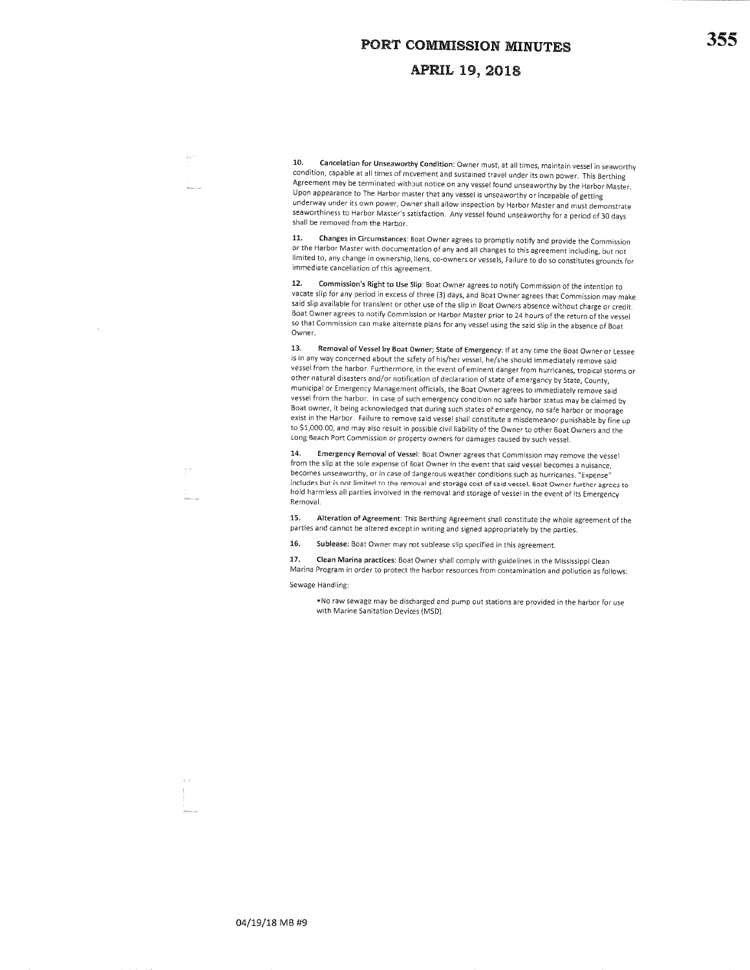#### **APRIL 19, 2018**

10. Cancelation for Unseaworthy Condition: Owner must, at all times, maintain vessel in seaworthy condition, capable at all times of movement and sustained travel under its own power. This Berthing Agreement may be terminated without notice on any vessel found unseaworthy by the Harbor Master.Upon appearance to The Harbor master that any vessel is unseaworthy or incapable of getting underway under its own power, owner shall allow inspection by Harbor Master and must demonstrate seaworthiness to Harbor lMaster's satisfaction. Any vessel found unseaworthy for a period of30 daysshall be removed from the Harbor.

11. Changes in Circumstances: Boat Owner agrees to promptly notify and provide the Commission or the Harbor Master with documentation of any and all changes to this agreement including, but not limited to, any change in ownership, liens, co-owners or vessels, Failure to do so constitutes grounds for immediate cancellation of this agreement.

12. Commission's Right to Use Slip: Boat Owner agrees to notify Commission of the intention to vacate slip for any period in excess ofthree {3) days, and Boat owner agrees that commission may makesaid slip available for transient or other use of the slip in Boat Owners absence without charge or credit. Boat Owner agrees to notify Commission or Harbor Master prior to 24 hours of the return of the vessel so that commission can make alternate plans for any vessel using the said slip in the absence of Boat Owner.

13. Removal of Vessel by Boat Owner; State of Emergency: If at any time the Boat Owner or Lessee is in any way concerned about the safety of his/her vessel, he/she should immediately remove said vessel from the harbor. Furthermore, in the event of eminent danger from hurricanes, tropjcal storms orother natural disasters and/or notification of declaration of state of emergency by state, county,municipal or Emergency Management officials, the Boat Owner agrees to immediately remove said vessel from the harbor. In case of such emergency condition no safe harbor status may be claimed by Boat owner, it being acknowledged that during such states of emergency, no safe harbor or moorage exist in the Harbor. Failure to remove said vessel shall constitute a misdemeanor punishable by fine upto \$1,000.00, and may also result in possible civil liability of the Owner to other Boat Owners and the Long Beach Port Commission or property owners for damages caused by such vessel.

14. Emergency Removal of Vessel: Boat Owner agrees that Commission may remove the vessel from the slip at the sole expense of Boat Owner in the event that said vessel becomes a nuisance, becomes unseaworthy, or in case of dangerous weather conditions such as hurricanes. "Expense' includes but is not limited to the removal and storage cost of said vessel. Boat Owner further agrees tohold harmless all parties involved in the removal and storage of vessel in the event of its Emergency Removal.

15. Alteration of Agreement: This Berthing Agreement shall constitute the whole agreement of theparties and cannot be altered except in writing and signed appropriately by the parties.

15. Sublease; Boat Owner may not sublease slip specified in this agreement.

17. Clean Marina practices: Boat Owner shall comply with guidelines in the Mississippi Clean Marina Program in order to protect the harbor resources from contamination and pollution as follows:

#### Sewage Handling:

 $\bar{1}$ 

.No raw sewage may be discharged and pump out stations are provided in the harbor for usewith Marine Sanitation Devices (M5D).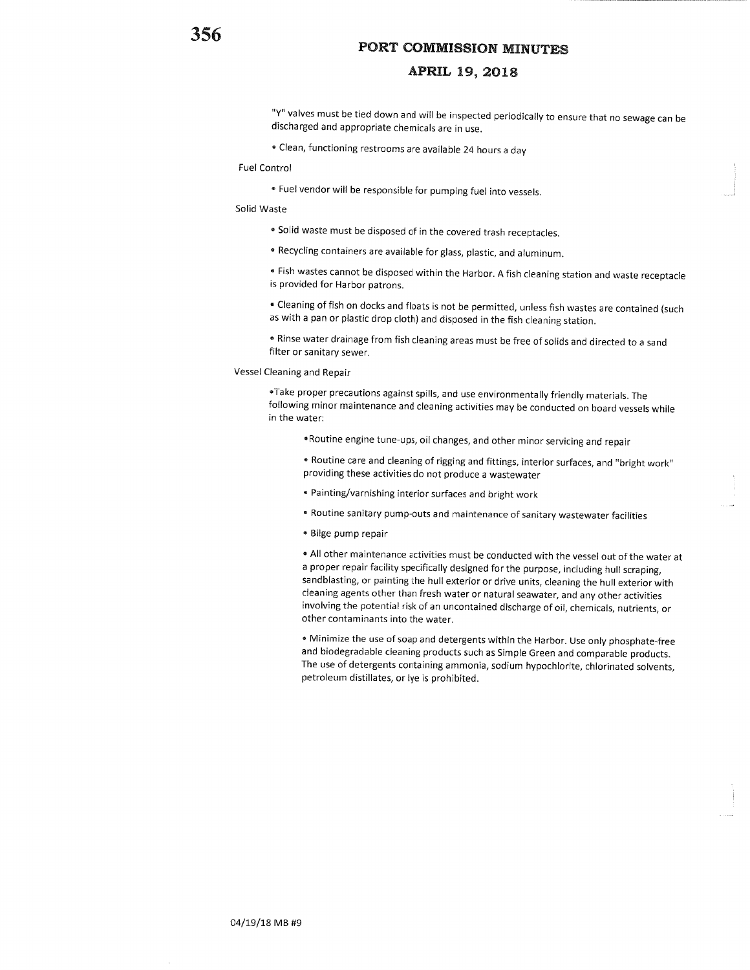## APRIL 19, 2018

"Y" valves must be tied down and will be inspected periodicallyto ensure that no sewage can bedischarged and appropriate chemicals are in use.

. Clean, functioning restrooms are available 24 hours a day

#### Fuel Control

. Fuel vendor will be responsible for pumping fuel into vessels.

#### Solid Waste

- Solid waste must be disposed of in the covered trash receptacles.
- . Recycling containers are available for glass, plastic, and aluminum.

' Fish wastes cannot be disposed within the Harbor. A fish cleaning station and waste receptacleis provided for Harbor patrons.

' Cleaning of fish on docks and floats is not be permitted, unless fish wastes are contained (suchas with a pan or plastic drop cloth) and disposed in the fish cleaning station.

• Rinse water drainage from fish cleaning areas must be free of solids and directed to a sand filter or sanitary sewer.

Vessel Cleaning and Repair

'Take proper precautions against spills, and use environmentally friendly materials. The following minor maintenance and cleaning activities may be conducted on board vessels whilein the water:

.Routine engine tune-ups, oil changes, and other minor servicing and repair

' Routine care and cleaning of rigging and fittings, interior surfaces, and "bright work"providing these activities do not produce a wastewater

- " Painting/varnishing interior surfaces and bright work
- ' Routine sanitary pump-outs and maintenance of sanitary wastewater facilities
- . Bilge pump repair

' All other maintenance activities must be conducted with the vessel out of the water ata proper repair facility specifically designed for the purpose, including hull scraping, sandblasting, or painting the hull exterior or drive units, cleaning the hull exterior withcleaning agents other than fresh water or natural seawater, and any other activities involving the potential risk of an uncontained discharge of oil, chemicals, nutrients, orother contaminants into the water.

' Minimize the use of soap and detergents within the Harbor. use only phosphate-free and biodegradable cleaning products such as simple Green and comparable products. The use of detergents containing ammonia, sodium hypochlorite, chlorinated solvents,petroleum distillates, or lye is prohibited.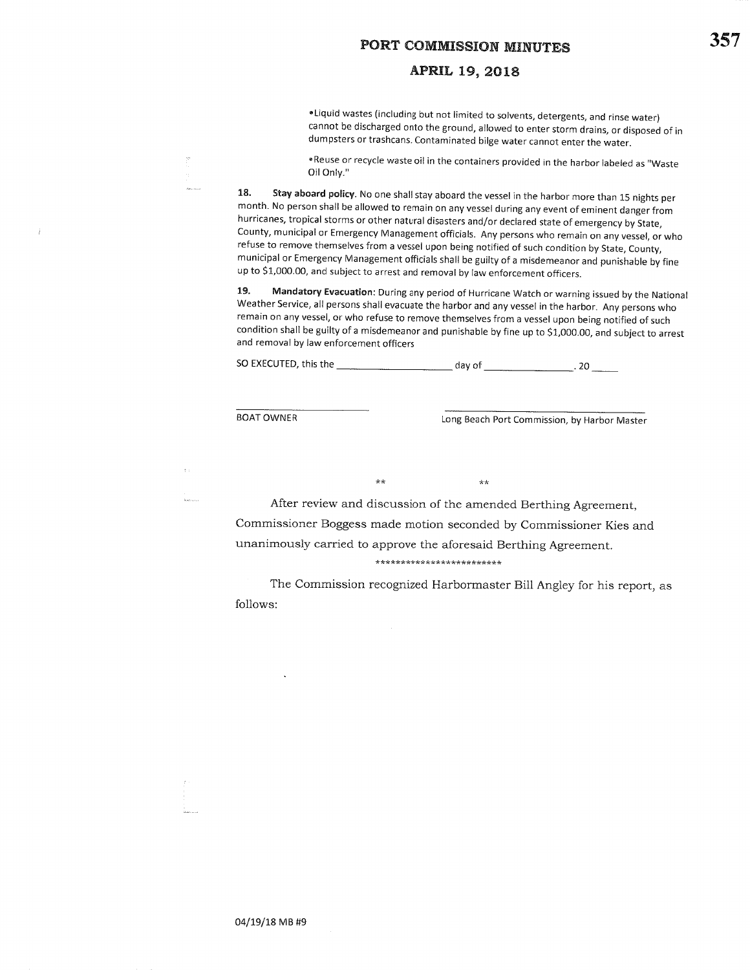## APRIL 19,2OL8

rLiquid wastes (including but not limited to solvents, detergents, and rinse water) cannot be discharged onto the ground, allowed to enter storm drains, or disposed of indumpsters or trashcans. Contaminated bilge water cannot enter the water.

'Reuse or recycle waste oil in the containers provided in the harbor labeled as "wasteOil Onty."

18. Stay aboard policy. No one shall stay aboard the vessel in the harbor more than 15 nights per month. No person shall be allowed to remain on any vessel during any event of eminent danger from hurricanes, tropical storms or other natural disasters and/or declared state of emergency by State, County, municipal or Emergency Management officials. Any persons who remain on any vessel, or whorefuse to remove themselves from a vessel upon being notified of such condition by State, County, municipal or Emergency Management officials shall be guilty of a misdemeanor and punishable by fineup to S1,000.00, and subject to arrest and removal by law enforcement officers.

19. Mandatory Evacuation: During any period of Hurricane Watch or warning issued by the NationalWeather Service, all persons shall evacuate the harbor and any vessel in the harbor. Any persons who remain on any vessel, or who refuse to remove themselves from a vessel upon being notified of such condition shall be guilty of a misdemeanor and punishable by fine up to S1,000.00, and subject to arrestand removal by law enforcement officers

SO EXECUTED, this the \_--=- day of 20

 $\star\star$ 

 $\alpha$ 

BOAT OWNER

Ť

Long Beach Port Commission, by Harbor Master

After review and discussion of the amended Berthing Agreement,commissioner Boggess made motion seconded by commissioner Kies andunanimously carried to approve the aforesaid Berthing Agreement.\*\*\*\*\*\*\*\*\*\*\*\*\*\*\*\*\*\*\*\*\*\*\*\*\*

 $\star\star$ 

The Commission recognized Harbormaster Bill Angley for his report, as follows: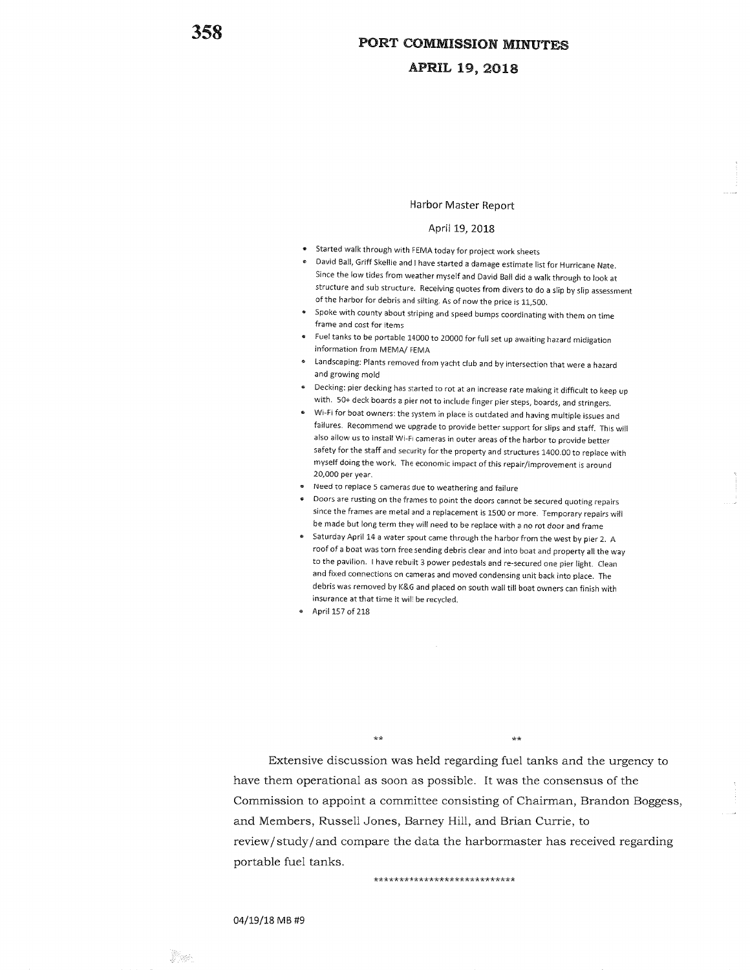### APRIL 19, 2018

#### Harbor Master Report

#### April 19, 2018

- Started walk through with FEMA today for project work sheets
- David Ball, Griff Skellie and I have started a damage estimate list for Hurricane Nate since the low tides from weather myselfand David Ball did a walk through to look atstructure and sub structure. Receiving quotes from divers to do a slip by slip assessme of the harbor for debris and silting. As of now the price is L1,500.
- Spoke with county about striping and speed bumps coordinating with them on timeframe and cost for items
- Fuel tanks to be portable 14000 to 20000 for full set up awaiting hazard midigationinformation from MEMA/ FEMA
- Landscaping: Plants removed from yacht club and by intersection that were a hazardand growing mold
- Decking: pier decking has started to rot at an increase rate making it difficult to keep upwith. 50+ deck boards a pier not to include finger pier steps, boards, and strir
- Wi-Fi for boat owners: the system in place is outdated and having multiple issues and failures. Recommend we upgrade to provide better support for slips and staff. This willalso allow us to install wi-Fi cameras in outer areas ofthe harbor to provide better safety for the staff and security for the property and structures 1400.00 to replace withmyself doing the work. The economic impact of this repair/improvement is around 20,000 per year.
- Need to replace 5 cameras due to weathering and failure
- Doors are rusting on the frames to point the doors cannot be secured quoting repairs since the frames are metal and a replacement is 1500 or more. Temporary repairs willbe made but long term they will need to be replace with a no rot door and frame
- Saturday April 14 a water spout came through the harbor from the west by pier 2. A roof of a boat was torn free sending debris clear and into boat and property all the wayto the pavilion. I have rebuilt 3 power pedestals and re-secured one pier light. Clean and fixed connections on cameras and moved condensing unit back into place. The debris was removed by K&G and placed on south wall till boat owners can finish withinsurance at that time it will be recycled.
- April 157 of 218

 $\star\star$ 

 $\star\star$ 

Extensive discussion was held regarding fuel tanks and the urgency tohave them operational as soon as possible. It was the consensus of theCommission to appoint a committee consisting of Chairman, Brandon Boggess,and Members, Russell Jones, Barney Hill, and Brian Currie, toreview/study/and compare the data the harbormaster has received regarding portable fuel tanks.

\*\*\*\*\*\*\*\*\*\*\*\*\*\*\*\*\*\*\*\*\*\*\*\*\*\*\*

#### 04/19/18M8#9

:,i..